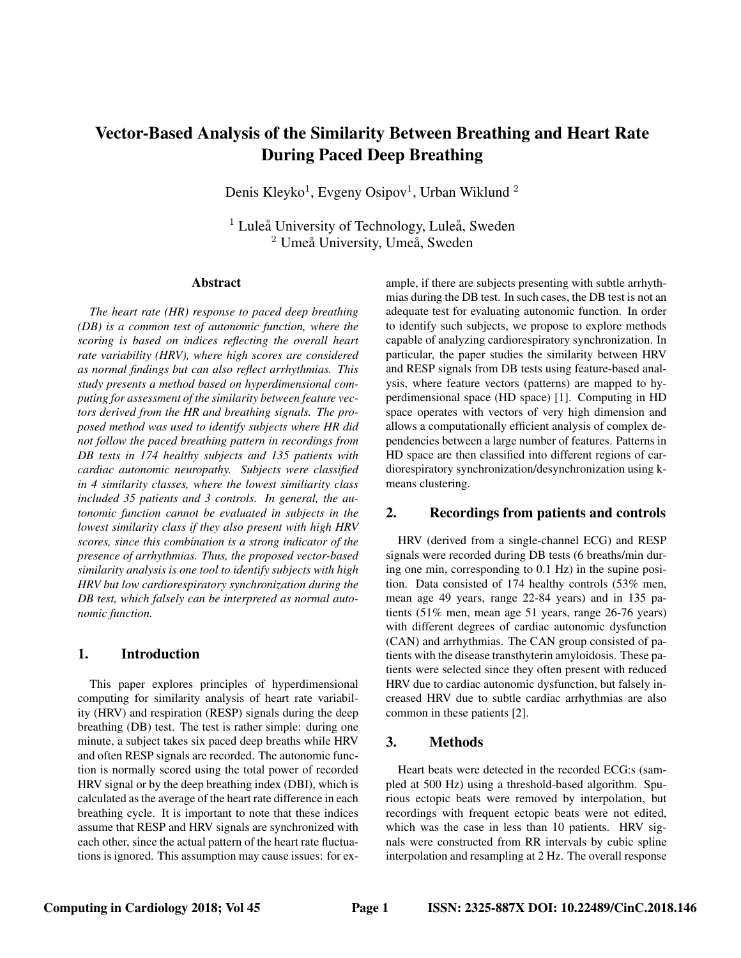# Vector-Based Analysis of the Similarity Between Breathing and Heart Rate During Paced Deep Breathing

Denis Kleyko<sup>1</sup>, Evgeny Osipov<sup>1</sup>, Urban Wiklund<sup>2</sup>

 $<sup>1</sup>$  Luleå University of Technology, Luleå, Sweden</sup>  $2$  Umeå University, Umeå, Sweden

#### Abstract

*The heart rate (HR) response to paced deep breathing (DB) is a common test of autonomic function, where the scoring is based on indices reflecting the overall heart rate variability (HRV), where high scores are considered as normal findings but can also reflect arrhythmias. This study presents a method based on hyperdimensional computing for assessment of the similarity between feature vectors derived from the HR and breathing signals. The proposed method was used to identify subjects where HR did not follow the paced breathing pattern in recordings from DB tests in 174 healthy subjects and 135 patients with cardiac autonomic neuropathy. Subjects were classified in 4 similarity classes, where the lowest similiarity class included 35 patients and 3 controls. In general, the autonomic function cannot be evaluated in subjects in the lowest similarity class if they also present with high HRV scores, since this combination is a strong indicator of the presence of arrhythmias. Thus, the proposed vector-based similarity analysis is one tool to identify subjects with high HRV but low cardiorespiratory synchronization during the DB test, which falsely can be interpreted as normal autonomic function.*

## 1. Introduction

This paper explores principles of hyperdimensional computing for similarity analysis of heart rate variability (HRV) and respiration (RESP) signals during the deep breathing (DB) test. The test is rather simple: during one minute, a subject takes six paced deep breaths while HRV and often RESP signals are recorded. The autonomic function is normally scored using the total power of recorded HRV signal or by the deep breathing index (DBI), which is calculated as the average of the heart rate difference in each breathing cycle. It is important to note that these indices assume that RESP and HRV signals are synchronized with each other, since the actual pattern of the heart rate fluctuations is ignored. This assumption may cause issues: for example, if there are subjects presenting with subtle arrhythmias during the DB test. In such cases, the DB test is not an adequate test for evaluating autonomic function. In order to identify such subjects, we propose to explore methods capable of analyzing cardiorespiratory synchronization. In particular, the paper studies the similarity between HRV and RESP signals from DB tests using feature-based analysis, where feature vectors (patterns) are mapped to hyperdimensional space (HD space) [1]. Computing in HD space operates with vectors of very high dimension and allows a computationally efficient analysis of complex dependencies between a large number of features. Patterns in HD space are then classified into different regions of cardiorespiratory synchronization/desynchronization using kmeans clustering.

# 2. Recordings from patients and controls

HRV (derived from a single-channel ECG) and RESP signals were recorded during DB tests (6 breaths/min during one min, corresponding to 0.1 Hz) in the supine position. Data consisted of 174 healthy controls (53% men, mean age 49 years, range 22-84 years) and in 135 patients (51% men, mean age 51 years, range 26-76 years) with different degrees of cardiac autonomic dysfunction (CAN) and arrhythmias. The CAN group consisted of patients with the disease transthyterin amyloidosis. These patients were selected since they often present with reduced HRV due to cardiac autonomic dysfunction, but falsely increased HRV due to subtle cardiac arrhythmias are also common in these patients [2].

## 3. Methods

Heart beats were detected in the recorded ECG:s (sampled at 500 Hz) using a threshold-based algorithm. Spurious ectopic beats were removed by interpolation, but recordings with frequent ectopic beats were not edited, which was the case in less than 10 patients. HRV signals were constructed from RR intervals by cubic spline interpolation and resampling at 2 Hz. The overall response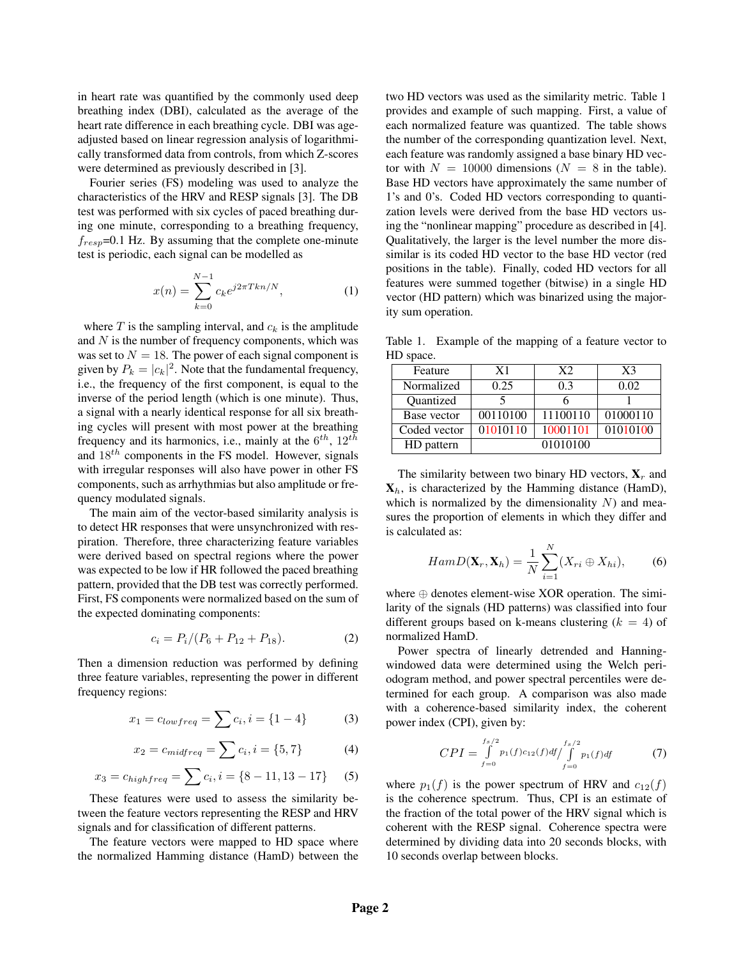in heart rate was quantified by the commonly used deep breathing index (DBI), calculated as the average of the heart rate difference in each breathing cycle. DBI was ageadjusted based on linear regression analysis of logarithmically transformed data from controls, from which Z-scores were determined as previously described in [3].

Fourier series (FS) modeling was used to analyze the characteristics of the HRV and RESP signals [3]. The DB test was performed with six cycles of paced breathing during one minute, corresponding to a breathing frequency,  $f_{resp}$ =0.1 Hz. By assuming that the complete one-minute test is periodic, each signal can be modelled as

$$
x(n) = \sum_{k=0}^{N-1} c_k e^{j2\pi T k n/N},
$$
 (1)

where  $T$  is the sampling interval, and  $c_k$  is the amplitude and  $N$  is the number of frequency components, which was was set to  $N = 18$ . The power of each signal component is given by  $P_k = |c_k|^2$ . Note that the fundamental frequency, i.e., the frequency of the first component, is equal to the inverse of the period length (which is one minute). Thus, a signal with a nearly identical response for all six breathing cycles will present with most power at the breathing frequency and its harmonics, i.e., mainly at the  $6^{th}$ ,  $12^{th}$ and  $18^{th}$  components in the FS model. However, signals with irregular responses will also have power in other FS components, such as arrhythmias but also amplitude or frequency modulated signals.

The main aim of the vector-based similarity analysis is to detect HR responses that were unsynchronized with respiration. Therefore, three characterizing feature variables were derived based on spectral regions where the power was expected to be low if HR followed the paced breathing pattern, provided that the DB test was correctly performed. First, FS components were normalized based on the sum of the expected dominating components:

$$
c_i = P_i / (P_6 + P_{12} + P_{18}). \tag{2}
$$

Then a dimension reduction was performed by defining three feature variables, representing the power in different frequency regions:

$$
x_1 = c_{lowfreq} = \sum c_i, i = \{1 - 4\}
$$
 (3)

$$
x_2 = c_{midfreq} = \sum c_i, i = \{5, 7\}
$$
 (4)

$$
x_3 = c_{highfreq} = \sum c_i, i = \{8 - 11, 13 - 17\} \tag{5}
$$

These features were used to assess the similarity between the feature vectors representing the RESP and HRV signals and for classification of different patterns.

The feature vectors were mapped to HD space where the normalized Hamming distance (HamD) between the two HD vectors was used as the similarity metric. Table 1 provides and example of such mapping. First, a value of each normalized feature was quantized. The table shows the number of the corresponding quantization level. Next, each feature was randomly assigned a base binary HD vector with  $N = 10000$  dimensions ( $N = 8$  in the table). Base HD vectors have approximately the same number of 1's and 0's. Coded HD vectors corresponding to quantization levels were derived from the base HD vectors using the "nonlinear mapping" procedure as described in [4]. Qualitatively, the larger is the level number the more dissimilar is its coded HD vector to the base HD vector (red positions in the table). Finally, coded HD vectors for all features were summed together (bitwise) in a single HD vector (HD pattern) which was binarized using the majority sum operation.

Table 1. Example of the mapping of a feature vector to HD space.

| Feature      | X1       | X2       | $X_3$                 |
|--------------|----------|----------|-----------------------|
| Normalized   | 0.25     | 0.3      | 0.02                  |
| Quantized    |          |          |                       |
| Base vector  | 00110100 | 11100110 | 01000110              |
| Coded vector | 01010110 | 10001101 | $\overline{01010100}$ |
| HD pattern   |          | 01010100 |                       |

The similarity between two binary HD vectors,  $X_r$  and  $X_h$ , is characterized by the Hamming distance (HamD), which is normalized by the dimensionality  $N$ ) and measures the proportion of elements in which they differ and is calculated as:

$$
HamD(\mathbf{X}_r, \mathbf{X}_h) = \frac{1}{N} \sum_{i=1}^N (X_{ri} \oplus X_{hi}), \quad (6)
$$

where  $\oplus$  denotes element-wise XOR operation. The similarity of the signals (HD patterns) was classified into four different groups based on k-means clustering  $(k = 4)$  of normalized HamD.

Power spectra of linearly detrended and Hanningwindowed data were determined using the Welch periodogram method, and power spectral percentiles were determined for each group. A comparison was also made with a coherence-based similarity index, the coherent power index (CPI), given by:

$$
CPI = \int_{f=0}^{f_s/2} p_1(f)c_{12}(f)df / \int_{f=0}^{f_s/2} p_1(f)df
$$
 (7)

where  $p_1(f)$  is the power spectrum of HRV and  $c_{12}(f)$ is the coherence spectrum. Thus, CPI is an estimate of the fraction of the total power of the HRV signal which is coherent with the RESP signal. Coherence spectra were determined by dividing data into 20 seconds blocks, with 10 seconds overlap between blocks.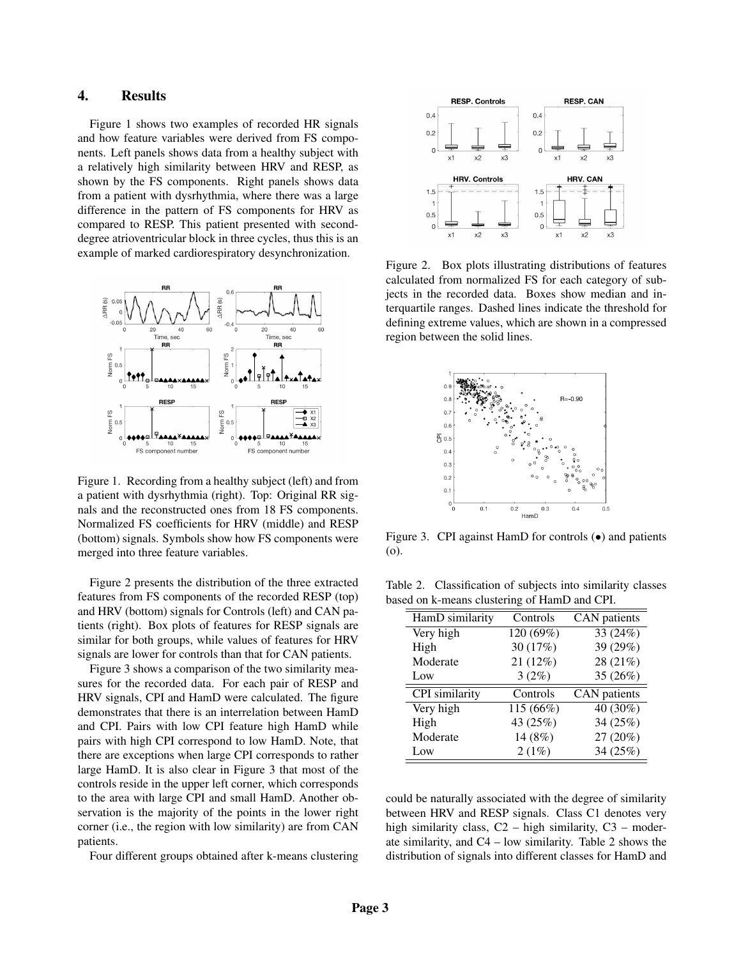# 4. Results

Figure 1 shows two examples of recorded HR signals and how feature variables were derived from FS components. Left panels shows data from a healthy subject with a relatively high similarity between HRV and RESP, as shown by the FS components. Right panels shows data from a patient with dysrhythmia, where there was a large difference in the pattern of FS components for HRV as compared to RESP. This patient presented with seconddegree atrioventricular block in three cycles, thus this is an example of marked cardiorespiratory desynchronization.



Figure 1. Recording from a healthy subject (left) and from a patient with dysrhythmia (right). Top: Original RR signals and the reconstructed ones from 18 FS components. Normalized FS coefficients for HRV (middle) and RESP (bottom) signals. Symbols show how FS components were merged into three feature variables.

Figure 2 presents the distribution of the three extracted features from FS components of the recorded RESP (top) and HRV (bottom) signals for Controls (left) and CAN patients (right). Box plots of features for RESP signals are similar for both groups, while values of features for HRV signals are lower for controls than that for CAN patients.

Figure 3 shows a comparison of the two similarity measures for the recorded data. For each pair of RESP and HRV signals, CPI and HamD were calculated. The figure demonstrates that there is an interrelation between HamD and CPI. Pairs with low CPI feature high HamD while pairs with high CPI correspond to low HamD. Note, that there are exceptions when large CPI corresponds to rather large HamD. It is also clear in Figure 3 that most of the controls reside in the upper left corner, which corresponds to the area with large CPI and small HamD. Another observation is the majority of the points in the lower right corner (i.e., the region with low similarity) are from CAN patients.

Four different groups obtained after k-means clustering



Figure 2. Box plots illustrating distributions of features calculated from normalized FS for each category of subjects in the recorded data. Boxes show median and interquartile ranges. Dashed lines indicate the threshold for defining extreme values, which are shown in a compressed region between the solid lines.



Figure 3. CPI against HamD for controls  $\left( \bullet \right)$  and patients (o).

Table 2. Classification of subjects into similarity classes based on k-means clustering of HamD and CPI.

| HamD similarity | Controls  | CAN patients |
|-----------------|-----------|--------------|
| Very high       | 120 (69%) | 33 (24%)     |
| High            | 30 (17%)  | 39 (29%)     |
| Moderate        | 21 (12%)  | 28 (21%)     |
| Low             | 3(2%)     | 35 (26%)     |
|                 |           |              |
| CPI similarity  | Controls  | CAN patients |
| Very high       | 115(66%)  | 40(30%)      |
| High            | 43 (25%)  | 34 (25%)     |
| Moderate        | 14 (8%)   | 27 (20%)     |

could be naturally associated with the degree of similarity between HRV and RESP signals. Class C1 denotes very high similarity class,  $C2 - high similarity$ ,  $C3 - moder$ ate similarity, and C4 – low similarity. Table 2 shows the distribution of signals into different classes for HamD and